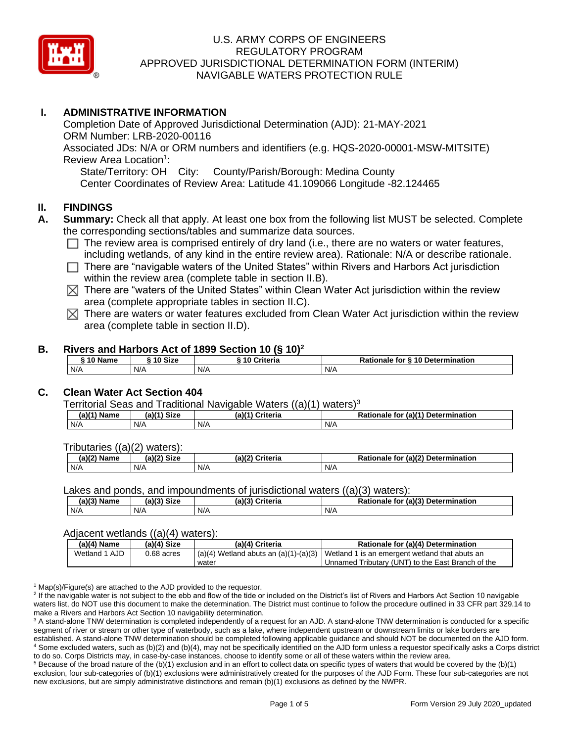

# **I. ADMINISTRATIVE INFORMATION**

Completion Date of Approved Jurisdictional Determination (AJD): 21-MAY-2021 ORM Number: LRB-2020-00116 Associated JDs: N/A or ORM numbers and identifiers (e.g. HQS-2020-00001-MSW-MITSITE) Review Area Location<sup>1</sup>: State/Territory: OH City: County/Parish/Borough: Medina County Center Coordinates of Review Area: Latitude 41.109066 Longitude -82.124465

## **II. FINDINGS**

- **A. Summary:** Check all that apply. At least one box from the following list MUST be selected. Complete the corresponding sections/tables and summarize data sources.
	- $\Box$  The review area is comprised entirely of dry land (i.e., there are no waters or water features, including wetlands, of any kind in the entire review area). Rationale: N/A or describe rationale.
	- $\Box$  There are "navigable waters of the United States" within Rivers and Harbors Act jurisdiction within the review area (complete table in section II.B).
	- $\boxtimes$  There are "waters of the United States" within Clean Water Act jurisdiction within the review area (complete appropriate tables in section II.C).
	- $\boxtimes$  There are waters or water features excluded from Clean Water Act jurisdiction within the review area (complete table in section II.D).

#### **B. Rivers and Harbors Act of 1899 Section 10 (§ 10)<sup>2</sup>**

| $\degree$ 10 Name | ົ 10 Size | ------<br><b>Criteria</b><br>10 <sup>1</sup> | Rationale for § 10 Determination |  |  |
|-------------------|-----------|----------------------------------------------|----------------------------------|--|--|
| N/A               | N/A       | N/A                                          | N/A                              |  |  |

## **C. Clean Water Act Section 404**

Territorial Seas and Traditional Navigable Waters  $((a)(1)$  waters)<sup>3</sup>

| (21/4)<br>$ -$<br>Name | <b>Size</b><br>$(a)$ $(4)$ | (a)'<br>riteria | $(ab)^{4}$<br><b>Determination</b><br>- -- -<br>tor<br>nale |
|------------------------|----------------------------|-----------------|-------------------------------------------------------------|
| N/A                    | N/A                        | N/A             | N/A                                                         |

Tributaries ((a)(2) waters):

| <b>Size</b><br>$(a)(2)$ N<br>٬۱٬۹۱<br>Name<br>. . |     | $\sim$<br>≧ritoria<br>או ושו | $(2)(2)$ P<br><b>)etermination</b><br>$\ddot{\phantom{0}}$<br>naie<br>TO. |  |  |
|---------------------------------------------------|-----|------------------------------|---------------------------------------------------------------------------|--|--|
| N/A                                               | N/A | N/A                          | N/A                                                                       |  |  |

Lakes and ponds, and impoundments of jurisdictional waters ((a)(3) waters):

| (a)(3) Name | <b>Size</b><br>$(a)$ ( $\degree$ | (a)(3)<br>Criteria | (a)(3) Determination<br>Rationale<br>for |  |  |
|-------------|----------------------------------|--------------------|------------------------------------------|--|--|
| N/A<br>N/A  |                                  | N/A                | N/A                                      |  |  |

#### Adjacent wetlands ((a)(4) waters):

| (a)(4) Name<br>(a)(4) Size |            | (a)(4) Criteria | Rationale for (a)(4) Determination                                                         |  |  |
|----------------------------|------------|-----------------|--------------------------------------------------------------------------------------------|--|--|
| Wetland 1 AJD              | 0.68 acres |                 | $(a)(4)$ Wetland abuts an $(a)(1)-(a)(3)$   Wetland 1 is an emergent wetland that abuts an |  |  |
|                            |            | water           | Unnamed Tributary (UNT) to the East Branch of the                                          |  |  |

 $1$  Map(s)/Figure(s) are attached to the AJD provided to the requestor.

<sup>2</sup> If the navigable water is not subject to the ebb and flow of the tide or included on the District's list of Rivers and Harbors Act Section 10 navigable waters list, do NOT use this document to make the determination. The District must continue to follow the procedure outlined in 33 CFR part 329.14 to make a Rivers and Harbors Act Section 10 navigability determination.

<sup>3</sup> A stand-alone TNW determination is completed independently of a request for an AJD. A stand-alone TNW determination is conducted for a specific segment of river or stream or other type of waterbody, such as a lake, where independent upstream or downstream limits or lake borders are established. A stand-alone TNW determination should be completed following applicable guidance and should NOT be documented on the AJD form. <sup>4</sup> Some excluded waters, such as (b)(2) and (b)(4), may not be specifically identified on the AJD form unless a requestor specifically asks a Corps district to do so. Corps Districts may, in case-by-case instances, choose to identify some or all of these waters within the review area.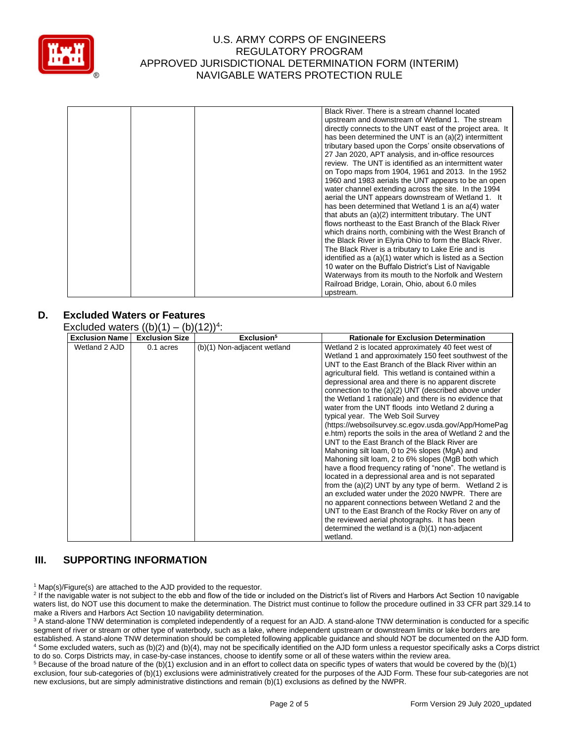

|  |  | Black River. There is a stream channel located<br>upstream and downstream of Wetland 1. The stream |
|--|--|----------------------------------------------------------------------------------------------------|
|  |  |                                                                                                    |
|  |  | directly connects to the UNT east of the project area. It                                          |
|  |  | has been determined the UNT is an (a)(2) intermittent                                              |
|  |  | tributary based upon the Corps' onsite observations of                                             |
|  |  | 27 Jan 2020, APT analysis, and in-office resources                                                 |
|  |  | review. The UNT is identified as an intermittent water                                             |
|  |  | on Topo maps from 1904, 1961 and 2013. In the 1952                                                 |
|  |  | 1960 and 1983 aerials the UNT appears to be an open                                                |
|  |  | water channel extending across the site. In the 1994                                               |
|  |  | aerial the UNT appears downstream of Wetland 1. It                                                 |
|  |  | has been determined that Wetland 1 is an a(4) water                                                |
|  |  | that abuts an (a)(2) intermittent tributary. The UNT                                               |
|  |  | flows northeast to the East Branch of the Black River                                              |
|  |  | which drains north, combining with the West Branch of                                              |
|  |  | the Black River in Elyria Ohio to form the Black River.                                            |
|  |  | The Black River is a tributary to Lake Erie and is                                                 |
|  |  | identified as a (a)(1) water which is listed as a Section                                          |
|  |  | 10 water on the Buffalo District's List of Navigable                                               |
|  |  | Waterways from its mouth to the Norfolk and Western                                                |
|  |  | Railroad Bridge, Lorain, Ohio, about 6.0 miles                                                     |
|  |  | upstream.                                                                                          |

## **D. Excluded Waters or Features**

Excluded waters  $((b)(1) - (b)(12))^4$ :

| <b>Exclusion Name</b><br><b>Exclusion Size</b><br>Exclusion <sup>5</sup> | <b>Rationale for Exclusion Determination</b>                                                                                                                                                                                                                                                                                                                                                                                                                                                                                                                                                                                                                                                                                                                                                                                                                                                                                                                                                                                                                                                                                                                                                                              |  |  |
|--------------------------------------------------------------------------|---------------------------------------------------------------------------------------------------------------------------------------------------------------------------------------------------------------------------------------------------------------------------------------------------------------------------------------------------------------------------------------------------------------------------------------------------------------------------------------------------------------------------------------------------------------------------------------------------------------------------------------------------------------------------------------------------------------------------------------------------------------------------------------------------------------------------------------------------------------------------------------------------------------------------------------------------------------------------------------------------------------------------------------------------------------------------------------------------------------------------------------------------------------------------------------------------------------------------|--|--|
| Wetland 2 AJD<br>(b)(1) Non-adjacent wetland<br>0.1 acres<br>wetland.    | Wetland 2 is located approximately 40 feet west of<br>Wetland 1 and approximately 150 feet southwest of the<br>UNT to the East Branch of the Black River within an<br>agricultural field. This wetland is contained within a<br>depressional area and there is no apparent discrete<br>connection to the (a)(2) UNT (described above under<br>the Wetland 1 rationale) and there is no evidence that<br>water from the UNT floods into Wetland 2 during a<br>typical year. The Web Soil Survey<br>(https://websoilsurvey.sc.egov.usda.gov/App/HomePag<br>e.htm) reports the soils in the area of Wetland 2 and the<br>UNT to the East Branch of the Black River are<br>Mahoning silt loam, 0 to 2% slopes (MgA) and<br>Mahoning silt loam, 2 to 6% slopes (MgB both which<br>have a flood frequency rating of "none". The wetland is<br>located in a depressional area and is not separated<br>from the $(a)(2)$ UNT by any type of berm. Wetland 2 is<br>an excluded water under the 2020 NWPR. There are<br>no apparent connections between Wetland 2 and the<br>UNT to the East Branch of the Rocky River on any of<br>the reviewed aerial photographs. It has been<br>determined the wetland is a (b)(1) non-adjacent |  |  |

## **III. SUPPORTING INFORMATION**

<sup>1</sup> Map(s)/Figure(s) are attached to the AJD provided to the requestor.

<sup>2</sup> If the navigable water is not subject to the ebb and flow of the tide or included on the District's list of Rivers and Harbors Act Section 10 navigable waters list, do NOT use this document to make the determination. The District must continue to follow the procedure outlined in 33 CFR part 329.14 to make a Rivers and Harbors Act Section 10 navigability determination.

<sup>3</sup> A stand-alone TNW determination is completed independently of a request for an AJD. A stand-alone TNW determination is conducted for a specific segment of river or stream or other type of waterbody, such as a lake, where independent upstream or downstream limits or lake borders are established. A stand-alone TNW determination should be completed following applicable guidance and should NOT be documented on the AJD form. 4 Some excluded waters, such as (b)(2) and (b)(4), may not be specifically identified on the AJD form unless a requestor specifically asks a Corps district to do so. Corps Districts may, in case-by-case instances, choose to identify some or all of these waters within the review area.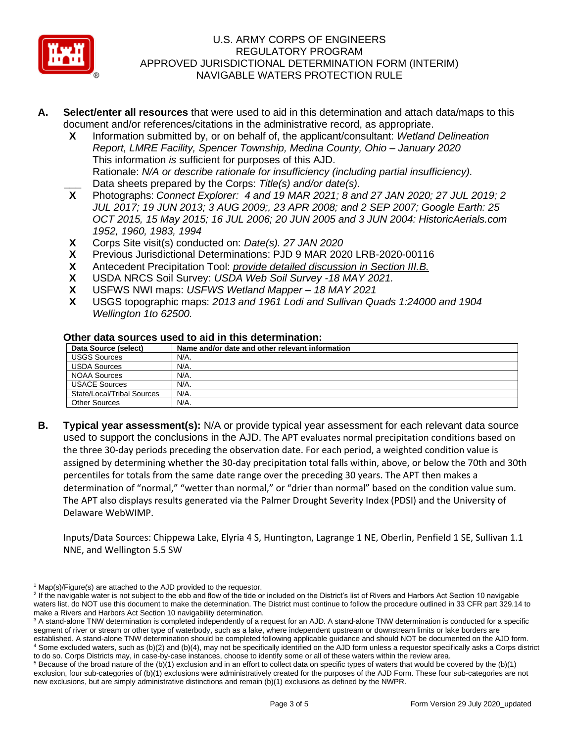

- **A. Select/enter all resources** that were used to aid in this determination and attach data/maps to this document and/or references/citations in the administrative record, as appropriate.
	- **X** Information submitted by, or on behalf of, the applicant/consultant: *Wetland Delineation Report, LMRE Facility, Spencer Township, Medina County, Ohio – January 2020* This information *is* sufficient for purposes of this AJD. Rationale: *N/A or describe rationale for insufficiency (including partial insufficiency).* **\_\_\_** Data sheets prepared by the Corps: *Title(s) and/or date(s).*
	- **X** Photographs: *Connect Explorer: 4 and 19 MAR 2021; 8 and 27 JAN 2020; 27 JUL 2019; 2 JUL 2017; 19 JUN 2013; 3 AUG 2009;, 23 APR 2008; and 2 SEP 2007; Google Earth: 25 OCT 2015, 15 May 2015; 16 JUL 2006; 20 JUN 2005 and 3 JUN 2004: HistoricAerials.com 1952, 1960, 1983, 1994*
	- **X** Corps Site visit(s) conducted on: *Date(s). 27 JAN 2020*
	- **X** Previous Jurisdictional Determinations: PJD 9 MAR 2020 LRB-2020-00116
	- **X** Antecedent Precipitation Tool: *provide detailed discussion in Section III.B.*
	- **X** USDA NRCS Soil Survey: *USDA Web Soil Survey -18 MAY 2021.*
	- **X** USFWS NWI maps: *USFWS Wetland Mapper – 18 MAY 2021*
	- **X** USGS topographic maps: *2013 and 1961 Lodi and Sullivan Quads 1:24000 and 1904 Wellington 1to 62500.*

## **Other data sources used to aid in this determination:**

| Data Source (select)       | Name and/or date and other relevant information |  |  |  |
|----------------------------|-------------------------------------------------|--|--|--|
| <b>USGS Sources</b>        | N/A.                                            |  |  |  |
| <b>USDA Sources</b>        | N/A.                                            |  |  |  |
| <b>NOAA Sources</b>        | N/A.                                            |  |  |  |
| <b>USACE Sources</b>       | N/A.                                            |  |  |  |
| State/Local/Tribal Sources | N/A.                                            |  |  |  |
| <b>Other Sources</b>       | N/A.                                            |  |  |  |

**B. Typical year assessment(s):** N/A or provide typical year assessment for each relevant data source used to support the conclusions in the AJD. The APT evaluates normal precipitation conditions based on the three 30-day periods preceding the observation date. For each period, a weighted condition value is assigned by determining whether the 30-day precipitation total falls within, above, or below the 70th and 30th percentiles for totals from the same date range over the preceding 30 years. The APT then makes a determination of "normal," "wetter than normal," or "drier than normal" based on the condition value sum. The APT also displays results generated via the Palmer Drought Severity Index (PDSI) and the University of Delaware WebWIMP.

Inputs/Data Sources: Chippewa Lake, Elyria 4 S, Huntington, Lagrange 1 NE, Oberlin, Penfield 1 SE, Sullivan 1.1 NNE, and Wellington 5.5 SW

 $1$  Map(s)/Figure(s) are attached to the AJD provided to the requestor.

<sup>&</sup>lt;sup>2</sup> If the navigable water is not subject to the ebb and flow of the tide or included on the District's list of Rivers and Harbors Act Section 10 navigable waters list, do NOT use this document to make the determination. The District must continue to follow the procedure outlined in 33 CFR part 329.14 to make a Rivers and Harbors Act Section 10 navigability determination.

<sup>&</sup>lt;sup>3</sup> A stand-alone TNW determination is completed independently of a request for an AJD. A stand-alone TNW determination is conducted for a specific segment of river or stream or other type of waterbody, such as a lake, where independent upstream or downstream limits or lake borders are established. A stand-alone TNW determination should be completed following applicable guidance and should NOT be documented on the AJD form. <sup>4</sup> Some excluded waters, such as (b)(2) and (b)(4), may not be specifically identified on the AJD form unless a requestor specifically asks a Corps district to do so. Corps Districts may, in case-by-case instances, choose to identify some or all of these waters within the review area.

 $5$  Because of the broad nature of the (b)(1) exclusion and in an effort to collect data on specific types of waters that would be covered by the (b)(1) exclusion, four sub-categories of (b)(1) exclusions were administratively created for the purposes of the AJD Form. These four sub-categories are not new exclusions, but are simply administrative distinctions and remain (b)(1) exclusions as defined by the NWPR.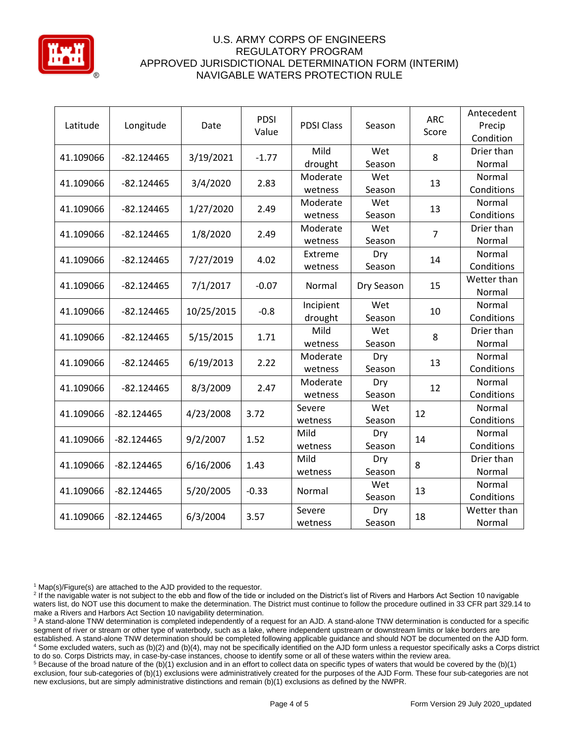

| Latitude  | Longitude    | Date       | <b>PDSI</b><br>Value | <b>PDSI Class</b>    | Season        | <b>ARC</b><br>Score | Antecedent<br>Precip<br>Condition |
|-----------|--------------|------------|----------------------|----------------------|---------------|---------------------|-----------------------------------|
| 41.109066 | $-82.124465$ | 3/19/2021  | $-1.77$              | Mild<br>drought      | Wet<br>Season | 8                   | Drier than<br>Normal              |
| 41.109066 | $-82.124465$ | 3/4/2020   | 2.83                 | Moderate<br>wetness  | Wet<br>Season | 13                  | Normal<br>Conditions              |
| 41.109066 | $-82.124465$ | 1/27/2020  | 2.49                 | Moderate<br>wetness  | Wet<br>Season | 13                  | Normal<br>Conditions              |
| 41.109066 | $-82.124465$ | 1/8/2020   | 2.49                 | Moderate<br>wetness  | Wet<br>Season | $\overline{7}$      | Drier than<br>Normal              |
| 41.109066 | $-82.124465$ | 7/27/2019  | 4.02                 | Extreme<br>wetness   | Dry<br>Season | 14                  | Normal<br>Conditions              |
| 41.109066 | $-82.124465$ | 7/1/2017   | $-0.07$              | Normal               | Dry Season    | 15                  | Wetter than<br>Normal             |
| 41.109066 | $-82.124465$ | 10/25/2015 | $-0.8$               | Incipient<br>drought | Wet<br>Season | 10                  | Normal<br>Conditions              |
| 41.109066 | $-82.124465$ | 5/15/2015  | 1.71                 | Mild<br>wetness      | Wet<br>Season | 8                   | Drier than<br>Normal              |
| 41.109066 | $-82.124465$ | 6/19/2013  | 2.22                 | Moderate<br>wetness  | Dry<br>Season | 13                  | Normal<br>Conditions              |
| 41.109066 | $-82.124465$ | 8/3/2009   | 2.47                 | Moderate<br>wetness  | Dry<br>Season | 12                  | Normal<br>Conditions              |
| 41.109066 | $-82.124465$ | 4/23/2008  | 3.72                 | Severe<br>wetness    | Wet<br>Season | 12                  | Normal<br>Conditions              |
| 41.109066 | $-82.124465$ | 9/2/2007   | 1.52                 | Mild<br>wetness      | Dry<br>Season | 14                  | Normal<br>Conditions              |
| 41.109066 | $-82.124465$ | 6/16/2006  | 1.43                 | Mild<br>wetness      | Dry<br>Season | 8                   | Drier than<br>Normal              |
| 41.109066 | $-82.124465$ | 5/20/2005  | $-0.33$              | Normal               | Wet<br>Season | 13                  | Normal<br>Conditions              |
| 41.109066 | $-82.124465$ | 6/3/2004   | 3.57                 | Severe<br>wetness    | Dry<br>Season | 18                  | Wetter than<br>Normal             |

<sup>1</sup> Map(s)/Figure(s) are attached to the AJD provided to the requestor.

<sup>2</sup> If the navigable water is not subject to the ebb and flow of the tide or included on the District's list of Rivers and Harbors Act Section 10 navigable waters list, do NOT use this document to make the determination. The District must continue to follow the procedure outlined in 33 CFR part 329.14 to make a Rivers and Harbors Act Section 10 navigability determination.

<sup>3</sup> A stand-alone TNW determination is completed independently of a request for an AJD. A stand-alone TNW determination is conducted for a specific segment of river or stream or other type of waterbody, such as a lake, where independent upstream or downstream limits or lake borders are established. A stand-alone TNW determination should be completed following applicable guidance and should NOT be documented on the AJD form. <sup>4</sup> Some excluded waters, such as (b)(2) and (b)(4), may not be specifically identified on the AJD form unless a requestor specifically asks a Corps district to do so. Corps Districts may, in case-by-case instances, choose to identify some or all of these waters within the review area.